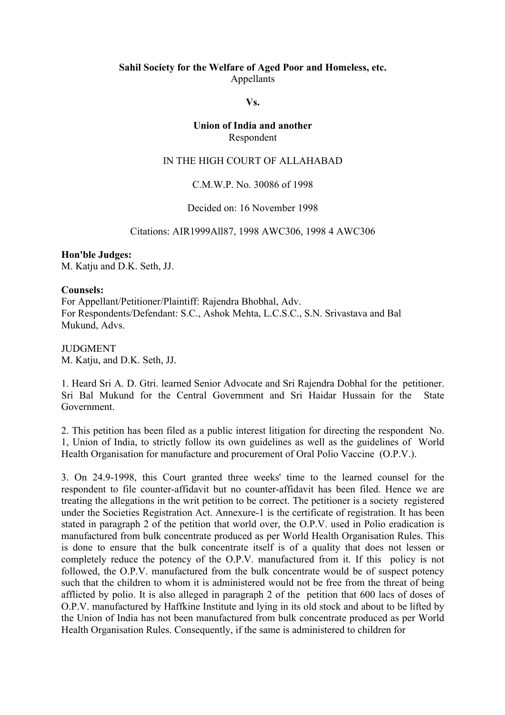# **Sahil Society for the Welfare of Aged Poor and Homeless, etc.** Appellants

### **Vs.**

# **Union of India and another** Respondent

#### IN THE HIGH COURT OF ALLAHABAD

## C.M.W.P. No. 30086 of 1998

### Decided on: 16 November 1998

#### Citations: AIR1999All87, 1998 AWC306, 1998 4 AWC306

### **Hon'ble Judges:** M. Katju and D.K. Seth, JJ.

#### **Counsels:**

For Appellant/Petitioner/Plaintiff: Rajendra Bhobhal, Adv. For Respondents/Defendant: S.C., Ashok Mehta, L.C.S.C., S.N. Srivastava and Bal Mukund, Advs.

JUDGMENT M. Katju, and D.K. Seth, JJ.

1. Heard Sri A. D. Gtri. learned Senior Advocate and Sri Rajendra Dobhal for the petitioner. Sri Bal Mukund for the Central Government and Sri Haidar Hussain for the State Government.

2. This petition has been filed as a public interest litigation for directing the respondent No. 1, Union of India, to strictly follow its own guidelines as well as the guidelines of World Health Organisation for manufacture and procurement of Oral Polio Vaccine (O.P.V.).

3. On 24.9-1998, this Court granted three weeks' time to the learned counsel for the respondent to file counter-affidavit but no counter-affidavit has been filed. Hence we are treating the allegations in the writ petition to be correct. The petitioner is a society registered under the Societies Registration Act. Annexure-1 is the certificate of registration. It has been stated in paragraph 2 of the petition that world over, the O.P.V. used in Polio eradication is manufactured from bulk concentrate produced as per World Health Organisation Rules. This is done to ensure that the bulk concentrate itself is of a quality that does not lessen or completely reduce the potency of the O.P.V. manufactured from it. If this policy is not followed, the O.P.V. manufactured from the bulk concentrate would be of suspect potency such that the children to whom it is administered would not be free from the threat of being afflicted by polio. It is also alleged in paragraph 2 of the petition that 600 lacs of doses of O.P.V. manufactured by Haffkine Institute and lying in its old stock and about to be lifted by the Union of India has not been manufactured from bulk concentrate produced as per World Health Organisation Rules. Consequently, if the same is administered to children for